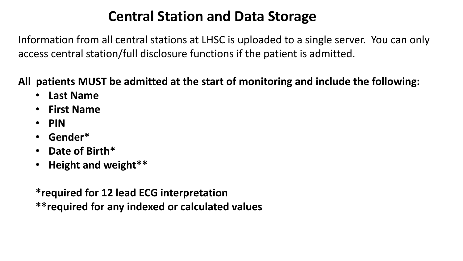## **Central Station and Data Storage**

Information from all central stations at LHSC is uploaded to a single server. You can only access central station/full disclosure functions if the patient is admitted.

#### **All patients MUST be admitted at the start of monitoring and include the following:**

- **Last Name**
- **First Name**
- **PIN**
- **Gender\***
- **Date of Birth\***
- **Height and weight\*\***

**\*required for 12 lead ECG interpretation \*\*required for any indexed or calculated values**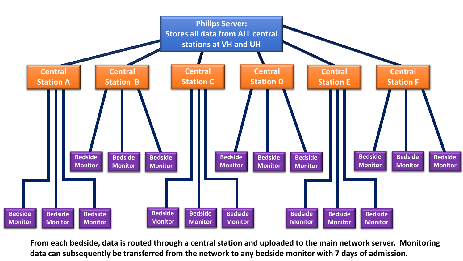

**From each bedside, data is routed through a central station and uploaded to the main network server. Monitoring data can subsequently be transferred from the network to any bedside monitor with 7 days of admission.**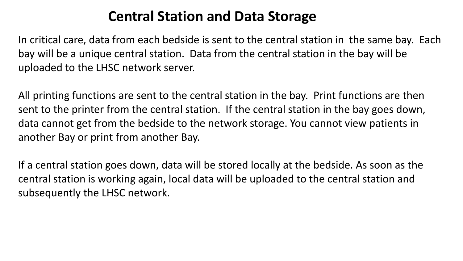### **Central Station and Data Storage**

In critical care, data from each bedside is sent to the central station in the same bay. Each bay will be a unique central station. Data from the central station in the bay will be uploaded to the LHSC network server.

All printing functions are sent to the central station in the bay. Print functions are then sent to the printer from the central station. If the central station in the bay goes down, data cannot get from the bedside to the network storage. You cannot view patients in another Bay or print from another Bay.

If a central station goes down, data will be stored locally at the bedside. As soon as the central station is working again, local data will be uploaded to the central station and subsequently the LHSC network.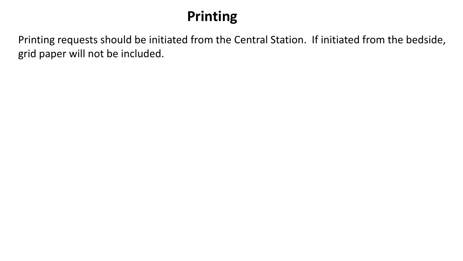# **Printing**

Printing requests should be initiated from the Central Station. If initiated from the bedside, grid paper will not be included.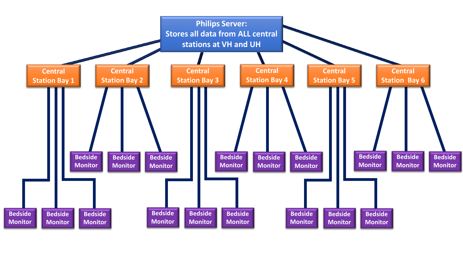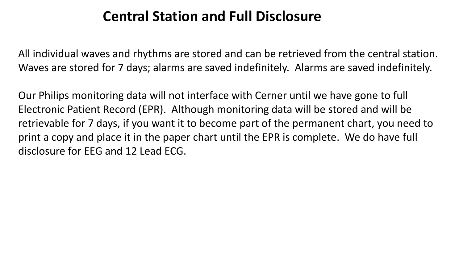### **Central Station and Full Disclosure**

All individual waves and rhythms are stored and can be retrieved from the central station. Waves are stored for 7 days; alarms are saved indefinitely. Alarms are saved indefinitely.

Our Philips monitoring data will not interface with Cerner until we have gone to full Electronic Patient Record (EPR). Although monitoring data will be stored and will be retrievable for 7 days, if you want it to become part of the permanent chart, you need to print a copy and place it in the paper chart until the EPR is complete. We do have full disclosure for EEG and 12 Lead ECG.